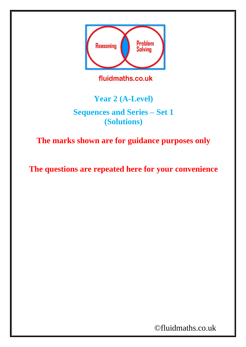

fluidmaths.co.uk

## **Year 2 (A-Level)**

**Sequences and Series – Set 1 (Solutions)**

**The marks shown are for guidance purposes only**

**The questions are repeated here for your convenience**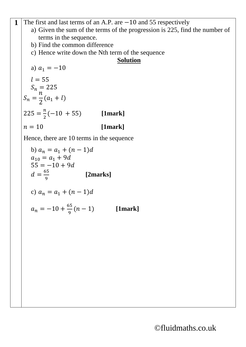**1** The first and last terms of an A.P. are −10 and 55 respectively

- a) Given the sum of the terms of the progression is 225, find the number of terms in the sequence.
- b) Find the common difference
- c) Hence write down the Nth term of the sequence

## **Solution**

a) 
$$
a_1 = -10
$$
  
\n $l = 55$   
\n $S_n = 225$   
\n $S_n = \frac{n}{2}(a_1 + l)$   
\n225 =  $\frac{n}{2}(-10 + 55)$  [1mark]  
\n $n = 10$  [1mark]

Hence, there are 10 terms in the sequence

b) 
$$
a_n = a_1 + (n-1)d
$$
  
\n $a_{10} = a_1 + 9d$   
\n $55 = -10 + 9d$   
\n $d = \frac{65}{9}$  [2marks]  
\nc)  $a_n = a_1 + (n-1)d$   
\n $a_n = -10 + \frac{65}{9}(n-1)$  [1mark]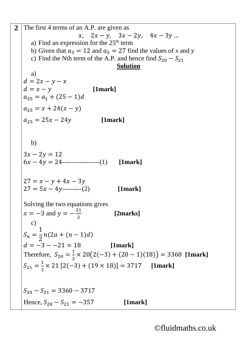2 The first 4 terms of an A.P. are given as  $x, \quad 2x - y, \quad 3x - 2y, \quad 4x - 3y \dots$ a) Find an expression for the  $25<sup>th</sup>$  term b) Given that  $a_3 = 12$  and  $a_5 = 27$  find the values of *x* and *y* c) Find the Nth term of the A.P. and hence find  $S_{20} - S_{21}$ **Solution** a)  $d = 2x - y - x$  $d = x - y$  [1mark]  $a_{25} = a_1 + (25 - 1)d$  $a_{25} = x + 24(x - y)$  $a_{25} = 25x - 24y$  [1mark] b)  $3x - 2y = 12$  $6x - 4y = 24$ ------------------(1) [1mark]  $27 = x - y + 4x - 3y$  $27 = 5x - 4y$ ---------(2) [1mark] Solving the two equations gives  $x = -3$  and  $y = -\frac{21}{3}$ 2 **[2marks]** c)  $S_n =$ 1 2  $n(2a + (n-1)d)$  $d = -3 - -21 = 18$  [1mark] Therefore,  $S_{20} = \frac{1}{2}$  $\frac{1}{2} \times 20(2(-3) + (20 - 1)(18)) = 3360$  [1mark]  $S_{21} = \frac{1}{2}$  $\frac{1}{2} \times 21 [2(-3) + (19 \times 18)] = 3717$  [1mark]  $S_{20} - S_{21} = 3360 - 3717$ Hence,  $S_{20} - S_{21} = -357$  [1mark]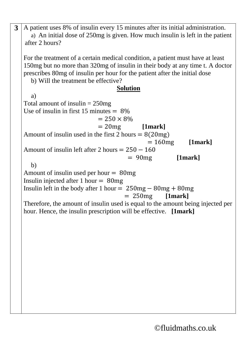| 3 | A patient uses 8% of insulin every 15 minutes after its initial administration.<br>a) An initial dose of 250mg is given. How much insulin is left in the patient<br>after 2 hours?                                                                                                      |
|---|-----------------------------------------------------------------------------------------------------------------------------------------------------------------------------------------------------------------------------------------------------------------------------------------|
|   | For the treatment of a certain medical condition, a patient must have at least<br>150 mg but no more than 320 mg of insulin in their body at any time t. A doctor<br>prescribes 80 mg of insulin per hour for the patient after the initial dose<br>b) Will the treatment be effective? |
|   | <b>Solution</b>                                                                                                                                                                                                                                                                         |
|   | a)                                                                                                                                                                                                                                                                                      |
|   | Total amount of insulin $= 250$ mg                                                                                                                                                                                                                                                      |
|   | Use of insulin in first 15 minutes $= 8\%$                                                                                                                                                                                                                                              |
|   | $= 250 \times 8\%$                                                                                                                                                                                                                                                                      |
|   | $= 20mg$ [1mark]                                                                                                                                                                                                                                                                        |
|   | Amount of insulin used in the first 2 hours $= 8(20mg)$                                                                                                                                                                                                                                 |
|   | $= 160mg$ [1mark]                                                                                                                                                                                                                                                                       |
|   | Amount of insulin left after 2 hours $= 250 - 160$                                                                                                                                                                                                                                      |
|   | $= 90$ mg<br>[1mark]                                                                                                                                                                                                                                                                    |
|   | b)                                                                                                                                                                                                                                                                                      |
|   | Amount of insulin used per hour $= 80mg$                                                                                                                                                                                                                                                |
|   | Insulin injected after 1 hour $= 80mg$                                                                                                                                                                                                                                                  |
|   | Insulin left in the body after 1 hour $= 250mg - 80mg + 80mg$                                                                                                                                                                                                                           |
|   | $= 250mg$ [1mark]                                                                                                                                                                                                                                                                       |
|   | Therefore, the amount of insulin used is equal to the amount being injected per                                                                                                                                                                                                         |
|   | hour. Hence, the insulin prescription will be effective. [1mark]                                                                                                                                                                                                                        |
|   |                                                                                                                                                                                                                                                                                         |
|   |                                                                                                                                                                                                                                                                                         |
|   |                                                                                                                                                                                                                                                                                         |
|   |                                                                                                                                                                                                                                                                                         |
|   |                                                                                                                                                                                                                                                                                         |
|   |                                                                                                                                                                                                                                                                                         |
|   |                                                                                                                                                                                                                                                                                         |
|   |                                                                                                                                                                                                                                                                                         |
|   |                                                                                                                                                                                                                                                                                         |
|   |                                                                                                                                                                                                                                                                                         |
|   |                                                                                                                                                                                                                                                                                         |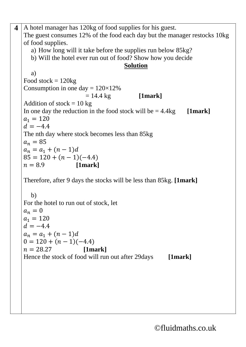**4** A hotel manager has 120kg of food supplies for his guest. The guest consumes 12% of the food each day but the manager restocks 10kg of food supplies. a) How long will it take before the supplies run below 85kg? b) Will the hotel ever run out of food? Show how you decide **Solution** a) Food stock  $= 120$ kg Consumption in one day  $= 120 \times 12\%$  $= 14.4 \text{ kg}$  **[1mark]** Addition of stock  $= 10$  kg In one day the reduction in the food stock will be  $= 4.4kg$  [1mark]  $a_1 = 120$  $d = -4.4$ The nth day where stock becomes less than 85kg  $a_n = 85$  $a_n = a_1 + (n-1)d$  $85 = 120 + (n - 1)(-4.4)$  $n = 8.9$  **[1mark]** Therefore, after 9 days the stocks will be less than 85kg. **[1mark]** b) For the hotel to run out of stock, let  $a_n = 0$  $a_1 = 120$  $d = -4.4$  $a_n = a_1 + (n - 1)d$  $0 = 120 + (n - 1)(-4.4)$  = 28.27 **[1mark]** Hence the stock of food will run out after 29days **[1mark]**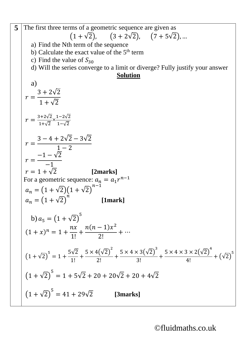**5** The first three terms of a geometric sequence are given as  $(1 + \sqrt{2}),$   $(3 + 2\sqrt{2}),$   $(7 + 5\sqrt{2}), ...$ a) Find the Nth term of the sequence b) Calculate the exact value of the  $5<sup>th</sup>$  term c) Find the value of  $S_{30}$ d) Will the series converge to a limit or diverge? Fully justify your answer **Solution** a)  $r =$ 3 + 2√2  $1 + \sqrt{2}$  $r = \frac{3+2\sqrt{2}}{1+\sqrt{2}}$  $1+\sqrt{2}$  $\times \frac{1-2\sqrt{2}}{4\sqrt{2}}$ 1−√2  $r =$  $3 - 4 + 2\sqrt{2} - 3\sqrt{2}$  $1 - 2$  $r =$  $-1 - \sqrt{2}$ −1  $r = 1 + \sqrt{2}$  [2marks] For a geometric sequence:  $a_n = a_1 r^{n-1}$  $a_n = (1 + \sqrt{2})(1 + \sqrt{2})$  $n-1$  $a_n = (1 + \sqrt{2})^7$  $\dot{n}$  **[1mark]** b)  $a_5 = (1 + \sqrt{2})^5$  $(1 + x)^n = 1 +$  $nx$ 1!  $+$  $n(n-1)x^2$ 2!  $+ \cdots$  $(1+\sqrt{2})^5 = 1 +$ 5√2 1! +  $5 \times 4(\sqrt{2})^2$ 2! +  $5 \times 4 \times 3(\sqrt{2})^3$ 3! +  $5 \times 4 \times 3 \times 2(\sqrt{2})^4$ 4!  $+ (\sqrt{2})^5$  $(1 + \sqrt{2})$ 5  $= 1 + 5\sqrt{2} + 20 + 20\sqrt{2} + 20 + 4\sqrt{2}$  $(1 + \sqrt{2})$  $5 = 41 + 29\sqrt{2}$  [3marks]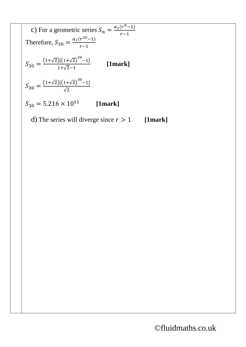c) For a geometric series 
$$
S_n = \frac{a_1(r^n - 1)}{r - 1}
$$
  
\nTherefore,  $S_{30} = \frac{a_1(r^{30} - 1)}{r - 1}$   
\n
$$
S_{30} = \frac{(1 + \sqrt{2})[(1 + \sqrt{2})^{30} - 1]}{1 + \sqrt{2} - 1}
$$
 [1mark]  
\n
$$
S_{30} = \frac{(1 + \sqrt{2})[(1 + \sqrt{2})^{30} - 1]}{\sqrt{2}}
$$
\n
$$
S_{30} = 5.216 \times 10^{11}
$$
 [1mark]

d) The series will diverge since  $r > 1$  [1mark]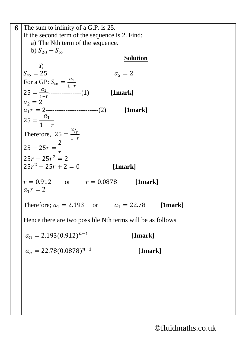**6** The sum to infinity of a  $\overline{G.P.}$  is 25. If the second term of the sequence is 2. Find: a) The Nth term of the sequence. b)  $S_{20} - S_{\infty}$ **Solution** a)  $S_{\infty} = 25$   $a_2 = 2$ For a GP:  $S_{\infty} = \frac{a_1}{1-a_2}$  $1-r$  $25 = \frac{a_1}{1}$  $\frac{u_1}{1-r}$ -----------------(1) **[1mark]**  $a_2 = 2$  $a_1 r = 2$ -------------------------(2) [1mark]  $25 =$  $a_1$  $1-r$ Therefore,  $25 =$  $\frac{2}{r}$  $1-r$  $25 - 25r =$ 2  $\boldsymbol{r}$  $25r - 25r^2 = 2$  $25r^2 - 25r + 2 = 0$  [1mark]  $r = 0.912$  or  $r = 0.0878$  [1mark]  $a_1 r = 2$ Therefore;  $a_1 = 2.193$  or  $a_1 = 22.78$  [1mark] Hence there are two possible Nth terms will be as follows  $a_n = 2.193(0.912)^{n-1}$  **[1mark]**  $a_n = 22.78(0.0878)^{n-1}$ **[1mark]**